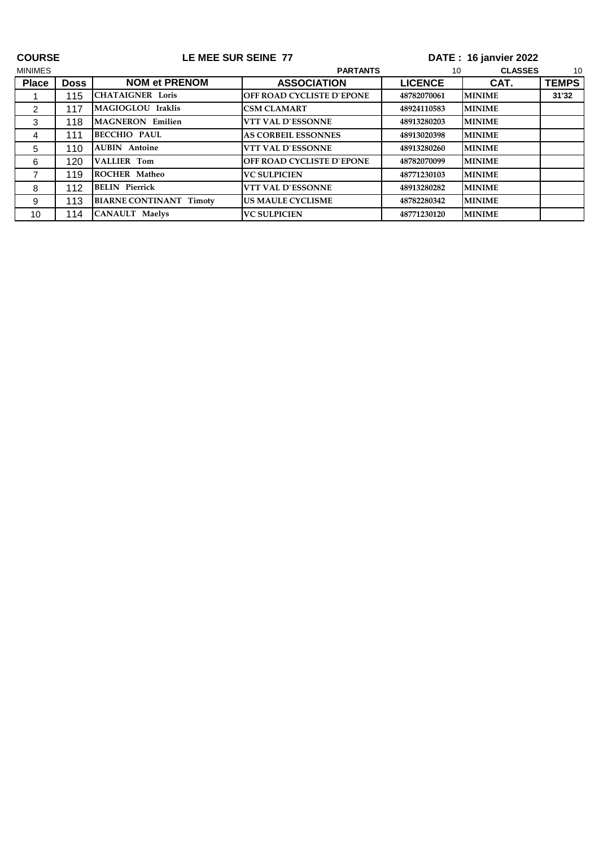| <b>COURSE</b>  |             | LE MEE SUR SEINE 77            |                            |                | DATE: 16 janvier 2022 |              |  |
|----------------|-------------|--------------------------------|----------------------------|----------------|-----------------------|--------------|--|
| <b>MINIMES</b> |             |                                | <b>PARTANTS</b>            |                | <b>CLASSES</b><br>10  |              |  |
| <b>Place</b>   | <b>Doss</b> | <b>NOM et PRENOM</b>           | <b>ASSOCIATION</b>         | <b>LICENCE</b> | CAT.                  | <b>TEMPS</b> |  |
|                | 115         | <b>CHATAIGNER Loris</b>        | OFF ROAD CYCLISTE D'EPONE  | 48782070061    | <b>MINIME</b>         | 31'32        |  |
| $\overline{2}$ | 117         | MAGIOGLOU Iraklis              | <b>CSM CLAMART</b>         | 48924110583    | <b>MINIME</b>         |              |  |
| 3              | 118         | <b>MAGNERON Emilien</b>        | <b>VTT VAL D'ESSONNE</b>   | 48913280203    | <b>MINIME</b>         |              |  |
| 4              | 111         | <b>BECCHIO PAUL</b>            | <b>AS CORBEIL ESSONNES</b> | 48913020398    | <b>MINIME</b>         |              |  |
| 5              | 110         | <b>AUBIN</b> Antoine           | <b>VTT VAL D'ESSONNE</b>   | 48913280260    | <b>MINIME</b>         |              |  |
| 6              | 120         | <b>VALLIER Tom</b>             | OFF ROAD CYCLISTE D'EPONE  | 48782070099    | <b>MINIME</b>         |              |  |
| $\overline{7}$ | 119         | <b>ROCHER Matheo</b>           | <b>VC SULPICIEN</b>        | 48771230103    | <b>MINIME</b>         |              |  |
| 8              | 112         | <b>BELIN</b> Pierrick          | <b>VTT VAL D'ESSONNE</b>   | 48913280282    | <b>MINIME</b>         |              |  |
| 9              | 113         | <b>BIARNE CONTINANT Timoty</b> | <b>US MAULE CYCLISME</b>   | 48782280342    | <b>MINIME</b>         |              |  |
| 10             | 114         | <b>CANAULT</b> Maelys          | <b>VC SULPICIEN</b>        | 48771230120    | <b>MINIME</b>         |              |  |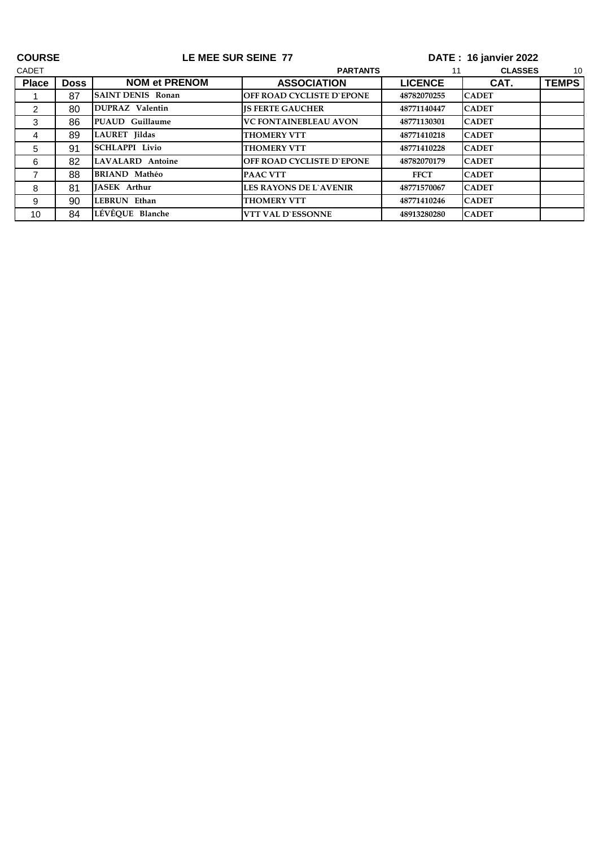| <b>COURSE</b> |             | LE MEE SUR SEINE 77      |                                  | DATE: 16 janvier 2022 |                      |              |  |
|---------------|-------------|--------------------------|----------------------------------|-----------------------|----------------------|--------------|--|
| <b>CADET</b>  |             |                          | <b>PARTANTS</b>                  |                       | <b>CLASSES</b><br>10 |              |  |
| <b>Place</b>  | <b>Doss</b> | <b>NOM et PRENOM</b>     | <b>ASSOCIATION</b>               | <b>LICENCE</b>        | CAT.                 | <b>TEMPS</b> |  |
|               | 87          | <b>SAINT DENIS Ronan</b> | OFF ROAD CYCLISTE D'EPONE        | 48782070255           | <b>CADET</b>         |              |  |
| 2             | 80          | DUPRAZ Valentin          | <b>IS FERTE GAUCHER</b>          | 48771140447           | <b>CADET</b>         |              |  |
| 3             | 86          | <b>PUAUD</b> Guillaume   | <b>VC FONTAINEBLEAU AVON</b>     | 48771130301           | <b>CADET</b>         |              |  |
| 4             | 89          | LAURET Jildas            | <b>THOMERY VTT</b>               | 48771410218           | <b>CADET</b>         |              |  |
| 5             | 91          | <b>SCHLAPPI Livio</b>    | <b>THOMERY VTT</b>               | 48771410228           | <b>CADET</b>         |              |  |
| 6             | 82          | LAVALARD Antoine         | <b>OFF ROAD CYCLISTE D`EPONE</b> | 48782070179           | <b>CADET</b>         |              |  |
|               | 88          | <b>BRIAND Mathéo</b>     | <b>PAAC VTT</b>                  | <b>FFCT</b>           | <b>CADET</b>         |              |  |
| 8             | 81          | <b>IASEK Arthur</b>      | <b>LES RAYONS DE L'AVENIR</b>    | 48771570067           | <b>CADET</b>         |              |  |
| 9             | 90          | LEBRUN Ethan             | <b>THOMERY VTT</b>               | 48771410246           | <b>CADET</b>         |              |  |
| 10            | 84          | LÉVÊOUE Blanche          | <b>VTT VAL D'ESSONNE</b>         | 48913280280           | <b>CADET</b>         |              |  |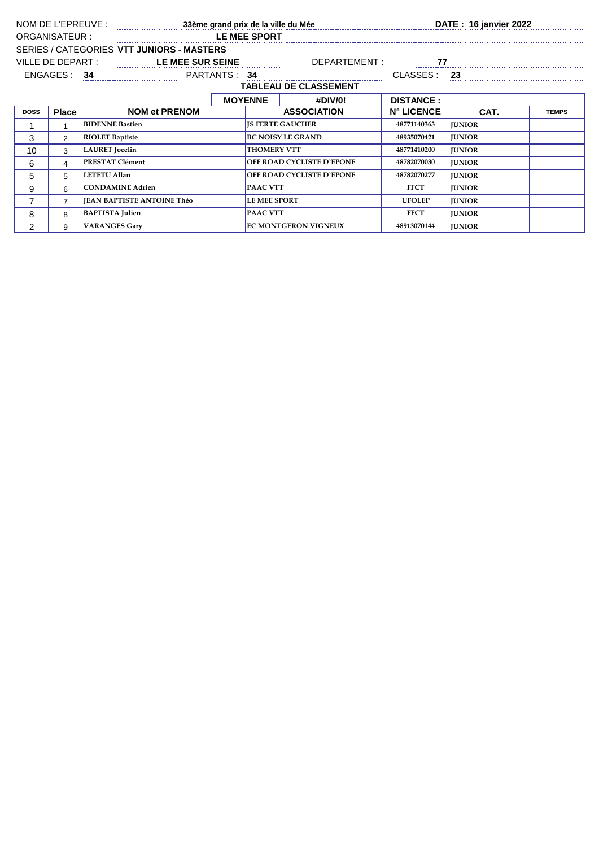| NOM DE L'EPREUVE :                        |                              |                                   | 33ème grand prix de la ville du Mée <b>Maritime annume au CATE</b> : 16 janvier 2022 |                     |                                  |                   |               |              |  |
|-------------------------------------------|------------------------------|-----------------------------------|--------------------------------------------------------------------------------------|---------------------|----------------------------------|-------------------|---------------|--------------|--|
| ORGANISATEUR :                            |                              |                                   |                                                                                      | LE MEE SPORT        |                                  |                   |               |              |  |
| SERIES / CATEGORIES VTT JUNIORS - MASTERS |                              |                                   |                                                                                      |                     |                                  |                   |               |              |  |
|                                           | VILLE DE DEPART :            |                                   | LE MEE SUR SEINE<br>DEPARTEMENT:                                                     |                     |                                  |                   |               |              |  |
| ENGAGES:<br>PARTANTS: 34<br>34            |                              |                                   |                                                                                      |                     | CLASSES:                         | 23                |               |              |  |
|                                           | <b>TABLEAU DE CLASSEMENT</b> |                                   |                                                                                      |                     |                                  |                   |               |              |  |
|                                           |                              |                                   |                                                                                      | <b>MOYENNE</b>      | #DIV/0!                          | <b>DISTANCE:</b>  |               |              |  |
| <b>DOSS</b>                               | <b>Place</b>                 | <b>NOM et PRENOM</b>              |                                                                                      |                     | <b>ASSOCIATION</b>               | <b>N° LICENCE</b> | CAT.          | <b>TEMPS</b> |  |
|                                           |                              | <b>BIDENNE Bastien</b>            |                                                                                      |                     | <b>IS FERTE GAUCHER</b>          | 48771140363       | <b>JUNIOR</b> |              |  |
| 3                                         | 2                            | <b>RIOLET Baptiste</b>            |                                                                                      |                     | <b>BC NOISY LE GRAND</b>         | 48935070421       | <b>IUNIOR</b> |              |  |
| 10                                        | 3                            | <b>LAURET</b> Jocelin             |                                                                                      |                     | <b>THOMERY VTT</b>               | 48771410200       | <b>JUNIOR</b> |              |  |
| 6                                         | 4                            | <b>PRESTAT Clément</b>            |                                                                                      |                     | OFF ROAD CYCLISTE D'EPONE        | 48782070030       | <b>JUNIOR</b> |              |  |
| 5                                         | 5                            | <b>LETETU Allan</b>               |                                                                                      |                     | <b>OFF ROAD CYCLISTE D'EPONE</b> | 48782070277       | <b>IUNIOR</b> |              |  |
| 9                                         | 6                            | <b>CONDAMINE Adrien</b>           |                                                                                      | <b>PAAC VTT</b>     |                                  | <b>FFCT</b>       | <b>JUNIOR</b> |              |  |
|                                           | $\overline{7}$               | <b>IEAN BAPTISTE ANTOINE Théo</b> |                                                                                      | <b>LE MEE SPORT</b> |                                  | <b>UFOLEP</b>     | <b>JUNIOR</b> |              |  |
| 8                                         | 8                            | <b>BAPTISTA</b> Julien            |                                                                                      | <b>PAAC VTT</b>     |                                  | <b>FFCT</b>       | <b>JUNIOR</b> |              |  |
| 2                                         | 9                            | <b>VARANGES Gary</b>              |                                                                                      |                     | <b>EC MONTGERON VIGNEUX</b>      | 48913070144       | <b>JUNIOR</b> |              |  |